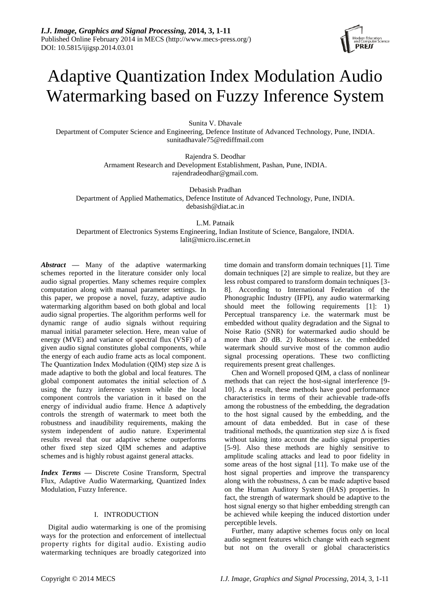

# Adaptive Quantization Index Modulation Audio Watermarking based on Fuzzy Inference System

Sunita V. Dhavale

Department of Computer Science and Engineering, Defence Institute of Advanced Technology, Pune, INDIA. sunitadhavale75@rediffmail.com

> Rajendra S. Deodhar Armament Research and Development Establishment, Pashan, Pune, INDIA. rajendradeodhar@gmail.com.

Debasish Pradhan Department of Applied Mathematics, Defence Institute of Advanced Technology, Pune, INDIA. [debasish@diat.ac.in](mailto:debasish@diat.ac.in)

L.M. Patnaik

Department of Electronics Systems Engineering, Indian Institute of Science, Bangalore, INDIA. lalit@micro.iisc.ernet.in

*Abstract* **—** Many of the adaptive watermarking schemes reported in the literature consider only local audio signal properties. Many schemes require complex computation along with manual parameter settings. In this paper, we propose a novel, fuzzy, adaptive audio watermarking algorithm based on both global and local audio signal properties. The algorithm performs well for dynamic range of audio signals without requiring manual initial parameter selection. Here, mean value of energy (MVE) and variance of spectral flux (VSF) of a given audio signal constitutes global components, while the energy of each audio frame acts as local component. The Quantization Index Modulation (QIM) step size  $\Delta$  is made adaptive to both the global and local features. The global component automates the initial selection of  $\Delta$ using the fuzzy inference system while the local component controls the variation in it based on the energy of individual audio frame. Hence Δ adaptively controls the strength of watermark to meet both the robustness and inaudibility requirements, making the system independent of audio nature. Experimental results reveal that our adaptive scheme outperforms other fixed step sized QIM schemes and adaptive schemes and is highly robust against general attacks.

*Index Terms —* Discrete Cosine Transform, Spectral Flux, Adaptive Audio Watermarking, Quantized Index Modulation, Fuzzy Inference.

#### I. INTRODUCTION

Digital audio watermarking is one of the promising ways for the protection and enforcement of intellectual property rights for digital audio. Existing audio watermarking techniques are broadly categorized into

time domain and transform domain techniques [1]. Time domain techniques [2] are simple to realize, but they are less robust compared to transform domain techniques [3- 8]. According to International Federation of the Phonographic Industry (IFPI), any audio watermarking should meet the following requirements [1]: 1) Perceptual transparency i.e. the watermark must be embedded without quality degradation and the Signal to Noise Ratio (SNR) for watermarked audio should be more than 20 dB. 2) Robustness i.e. the embedded watermark should survive most of the common audio signal processing operations. These two conflicting requirements present great challenges.

Chen and Wornell proposed QIM, a class of nonlinear methods that can reject the host-signal interference [9- 10]. As a result, these methods have good performance characteristics in terms of their achievable trade-offs among the robustness of the embedding, the degradation to the host signal caused by the embedding, and the amount of data embedded. But in case of these traditional methods, the quantization step size  $\Delta$  is fixed without taking into account the audio signal properties [5-9]. Also these methods are highly sensitive to amplitude scaling attacks and lead to poor fidelity in some areas of the host signal [11]. To make use of the host signal properties and improve the transparency along with the robustness,  $\Delta$  can be made adaptive based on the Human Auditory System (HAS) properties. In fact, the strength of watermark should be adaptive to the host signal energy so that higher embedding strength can be achieved while keeping the induced distortion under perceptible levels.

Further, many adaptive schemes focus only on local audio segment features which change with each segment but not on the overall or global characteristics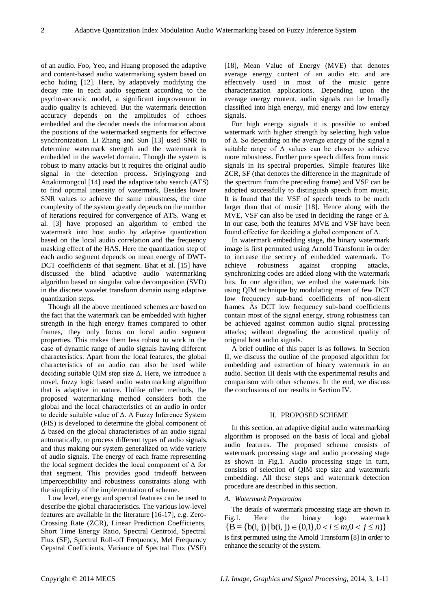of an audio. Foo, Yeo, and Huang proposed the adaptive and content-based audio watermarking system based on echo hiding [12]. Here, by adaptively modifying the decay rate in each audio segment according to the psycho-acoustic model, a significant improvement in audio quality is achieved. But the watermark detection accuracy depends on the amplitudes of echoes embedded and the decoder needs the information about the positions of the watermarked segments for effective synchronization. Li Zhang and Sun [13] used SNR to determine watermark strength and the watermark is embedded in the wavelet domain. Though the system is robust to many attacks but it requires the original audio signal in the detection process. Sriyingyong and Attakitmongcol [14] used the adaptive tabu search (ATS) to find optimal intensity of watermark. Besides lower SNR values to achieve the same robustness, the time complexity of the system greatly depends on the number of iterations required for convergence of ATS. Wang et al. [3] have proposed an algorithm to embed the watermark into host audio by adaptive quantization based on the local audio correlation and the frequency masking effect of the HAS. Here the quantization step of each audio segment depends on mean energy of DWT-DCT coefficients of that segment. Bhat et al. [15] have discussed the blind adaptive audio watermarking algorithm based on singular value decomposition (SVD) in the discrete wavelet transform domain using adaptive quantization steps.

Though all the above mentioned schemes are based on the fact that the watermark can be embedded with higher strength in the high energy frames compared to other frames, they only focus on local audio segment properties. This makes them less robust to work in the case of dynamic range of audio signals having different characteristics. Apart from the local features, the global characteristics of an audio can also be used while deciding suitable QIM step size Δ. Here, we introduce a novel, fuzzy logic based audio watermarking algorithm that is adaptive in nature. Unlike other methods, the proposed watermarking method considers both the global and the local characteristics of an audio in order to decide suitable value of Δ. A Fuzzy Inference System (FIS) is developed to determine the global component of  $\Delta$  based on the global characteristics of an audio signal automatically, to process different types of audio signals, and thus making our system generalized on wide variety of audio signals. The energy of each frame representing the local segment decides the local component of Δ for that segment. This provides good tradeoff between imperceptibility and robustness constraints along with the simplicity of the implementation of scheme.

Low level, energy and spectral features can be used to describe the global characteristics. The various low-level features are available in the literature [16-17], e.g. Zero-Crossing Rate (ZCR), Linear Prediction Coefficients, Short Time Energy Ratio, Spectral Centroid, Spectral Flux (SF), Spectral Roll-off Frequency, Mel Frequency Cepstral Coefficients, Variance of Spectral Flux (VSF)

[18], Mean Value of Energy (MVE) that denotes average energy content of an audio etc. and are effectively used in most of the music genre characterization applications. Depending upon the average energy content, audio signals can be broadly classified into high energy, mid energy and low energy signals.

For high energy signals it is possible to embed watermark with higher strength by selecting high value of Δ. So depending on the average energy of the signal a suitable range of  $\Delta$  values can be chosen to achieve more robustness. Further pure speech differs from music signals in its spectral properties. Simple features like ZCR, SF (that denotes the difference in the magnitude of the spectrum from the preceding frame) and VSF can be adopted successfully to distinguish speech from music. It is found that the VSF of speech tends to be much larger than that of music [18]. Hence along with the MVE, VSF can also be used in deciding the range of  $\Delta$ . In our case, both the features MVE and VSF have been found effective for deciding a global component of  $\Delta$ .

In watermark embedding stage, the binary watermark image is first permuted using Arnold Transform in order to increase the secrecy of embedded watermark. To achieve robustness against cropping attacks, synchronizing codes are added along with the watermark bits. In our algorithm, we embed the watermark bits using QIM technique by modulating mean of few DCT low frequency sub-band coefficients of non-silent frames. As DCT low frequency sub-band coefficients contain most of the signal energy, strong robustness can be achieved against common audio signal processing attacks; without degrading the acoustical quality of original host audio signals.

A brief outline of this paper is as follows. In Section II, we discuss the outline of the proposed algorithm for embedding and extraction of binary watermark in an audio. Section III deals with the experimental results and comparison with other schemes. In the end, we discuss the conclusions of our results in Section IV.

#### II. PROPOSED SCHEME

In this section, an adaptive digital audio watermarking algorithm is proposed on the basis of local and global audio features. The proposed scheme consists of watermark processing stage and audio processing stage as shown in Fig.1. Audio processing stage in turn, consists of selection of QIM step size and watermark embedding. All these steps and watermark detection procedure are described in this section.

#### *A. Watermark Preparation*

The details of watermark processing stage are shown in Fig.1. Here the binary logo watermark  ${B = {b(i, j) | b(i, j) \in {0, 1}, 0 < i \leq m, 0 < j \leq n}$ is first permuted using the Arnold Transform [8] in order to enhance the security of the system.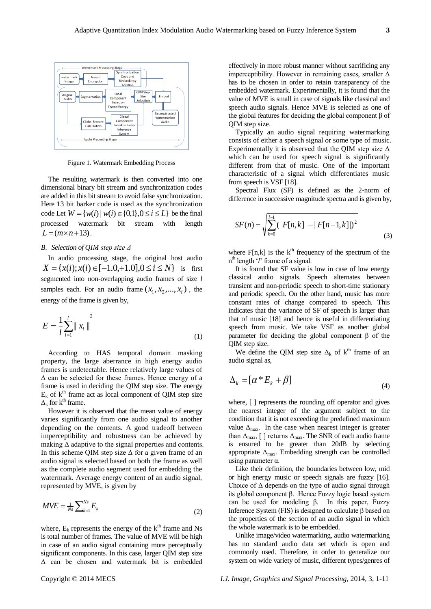

Figure 1. Watermark Embedding Process

The resulting watermark is then converted into one dimensional binary bit stream and synchronization codes are added in this bit stream to avoid false synchronization. Here 13 bit barker code is used as the synchronization code Let  $W = \{w(i) | w(i) \in \{0,1\}, 0 \le i \le L\}$  be the final processed watermark bit stream with length  $L = (m \times n + 13)$ .

#### *B. Selection of QIM step size Δ*

In audio processing stage, the original host audio  $X = \{x(i); x(i) \in [-1.0, +1.0], 0 \le i \le N\}$  is first segmented into non-overlapping audio frames of size *l*  samples each. For an audio frame  $(x_1, x_2, ..., x_l)$ , the energy of the frame is given by,

$$
E = \frac{1}{l} \sum_{i=1}^{l} ||x_i||^2
$$
 (1)

According to HAS temporal domain masking property, the large aberrance in high energy audio frames is undetectable. Hence relatively large values of Δ can be selected for these frames. Hence energy of a frame is used in deciding the QIM step size. The energy  $E_k$  of  $k^{\text{th}}$  frame act as local component of QIM step size  $\Delta_k$  for k<sup>th</sup> frame.

However it is observed that the mean value of energy varies significantly from one audio signal to another depending on the contents. A good tradeoff between imperceptibility and robustness can be achieved by making  $\Delta$  adaptive to the signal properties and contents. In this scheme QIM step size  $\Delta$  for a given frame of an audio signal is selected based on both the frame as well as the complete audio segment used for embedding the watermark. Average energy content of an audio signal, represented by MVE, is given by

$$
MVE = \frac{1}{Ns} \sum_{k=1}^{Ns} E_k \tag{2}
$$

where,  $E_k$  represents the energy of the  $k<sup>th</sup>$  frame and Ns is total number of frames. The value of MVE will be high in case of an audio signal containing more perceptually significant components. In this case, larger QIM step size Δ can be chosen and watermark bit is embedded

effectively in more robust manner without sacrificing any imperceptibility. However in remaining cases, smaller  $\Delta$ has to be chosen in order to retain transparency of the embedded watermark. Experimentally, it is found that the value of MVE is small in case of signals like classical and speech audio signals. Hence MVE is selected as one of the global features for deciding the global component β of QIM step size.

Typically an audio signal requiring watermarking consists of either a speech signal or some type of music. Experimentally it is observed that the QIM step size  $\Delta$ which can be used for speech signal is significantly different from that of music. One of the important characteristic of a signal which differentiates music from speech is VSF [18].

Spectral Flux (SF) is defined as the 2-norm of difference in successive magnitude spectra and is given by,

$$
SF(n) = \sqrt{\sum_{k=0}^{l-1} (|F[n,k]| - |F[n-1,k]|)^2}
$$
\n(3)

where  $F[n,k]$  is the  $k^{th}$  frequency of the spectrum of the n th length "*l*" frame of a signal.

It is found that SF value is low in case of low energy classical audio signals. Speech alternates between transient and non-periodic speech to short-time stationary and periodic speech. On the other hand, music has more constant rates of change compared to speech. This indicates that the variance of SF of speech is larger than that of music [18] and hence is useful in differentiating speech from music. We take VSF as another global parameter for deciding the global component β of the QIM step size.

We define the QIM step size  $\Delta_k$  of  $k^{\text{th}}$  frame of an audio signal as,

$$
\Delta_k = [\alpha * E_k + \beta] \tag{4}
$$

where,  $\lceil \cdot \rceil$  represents the rounding off operator and gives the nearest integer of the argument subject to the condition that it is not exceeding the predefined maximum value  $\Delta_{\text{max}}$ . In the case when nearest integer is greater than  $\Delta_{\text{max}}$ , [ ] returns  $\Delta_{\text{max}}$ . The SNR of each audio frame is ensured to be greater than 20dB by selecting appropriate  $\Delta_{\text{max}}$ . Embedding strength can be controlled using parameter α.

Like their definition, the boundaries between low, mid or high energy music or speech signals are fuzzy [16]. Choice of  $\Delta$  depends on the type of audio signal through its global component β. Hence Fuzzy logic based system can be used for modeling β. In this paper, Fuzzy Inference System (FIS) is designed to calculate β based on the properties of the section of an audio signal in which the whole watermark is to be embedded.

Unlike image/video watermarking, audio watermarking has no standard audio data set which is open and commonly used. Therefore, in order to generalize our system on wide variety of music, different types/genres of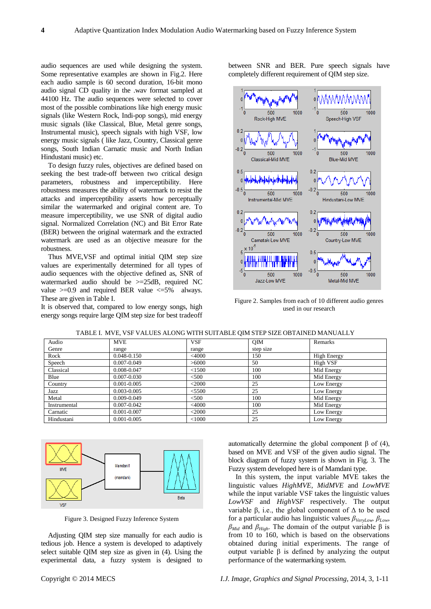audio sequences are used while designing the system. Some representative examples are shown in Fig.2. Here each audio sample is 60 second duration, 16-bit mono audio signal CD quality in the .wav format sampled at 44100 Hz. The audio sequences were selected to cover most of the possible combinations like high energy music signals (like Western Rock, Indi-pop songs), mid energy music signals (like Classical, Blue, Metal genre songs, Instrumental music), speech signals with high VSF, low energy music signals ( like Jazz, Country, Classical genre songs, South Indian Carnatic music and North Indian Hindustani music) etc.

To design fuzzy rules, objectives are defined based on seeking the best trade-off between two critical design parameters, robustness and imperceptibility. Here robustness measures the ability of watermark to resist the attacks and imperceptibility asserts how perceptually similar the watermarked and original content are. To measure imperceptibility, we use SNR of digital audio signal. Normalized Correlation (NC) and Bit Error Rate (BER) between the original watermark and the extracted watermark are used as an objective measure for the robustness.

Thus MVE,VSF and optimal initial QIM step size values are experimentally determined for all types of audio sequences with the objective defined as, SNR of watermarked audio should be >=25dB, required NC value  $>=0.9$  and required BER value  $<=5\%$  always. These are given in Table I.

It is observed that, compared to low energy songs, high energy songs require large QIM step size for best tradeoff between SNR and BER. Pure speech signals have completely different requirement of QIM step size.



Figure 2. Samples from each of 10 different audio genres used in our research

| Audio        | <b>MVE</b>      | <b>VSF</b> | <b>OIM</b> | Remarks            |  |  |
|--------------|-----------------|------------|------------|--------------------|--|--|
| Genre        | range           | range      | step size  |                    |  |  |
| Rock         | 0.048-0.150     | $<$ 4000   | 150        | <b>High Energy</b> |  |  |
| Speech       | $0.007 - 0.049$ | >6000      | 50         | High VSF           |  |  |
| Classical    | 0.008-0.047     | < 1500     | 100        | Mid Energy         |  |  |
| Blue         | $0.007 - 0.030$ | $<$ 500    | 100        | Mid Energy         |  |  |
| Country      | $0.001 - 0.005$ | $<$ 2000   | 25         | Low Energy         |  |  |
| Jazz         | $0.003 - 0.005$ | < 5500     | 25         | Low Energy         |  |  |
| Metal        | $0.009 - 0.049$ | $<$ 500    | 100        | Mid Energy         |  |  |
| Instrumental | $0.007 - 0.042$ | $<$ 4000   | 100        | Mid Energy         |  |  |
| Carnatic     | $0.001 - 0.007$ | $<$ 2000   | 25         | Low Energy         |  |  |
| Hindustani   | $0.001 - 0.005$ | $<$ 1000   | 25         | Low Energy         |  |  |

TABLE I. MVE, VSF VALUES ALONG WITH SUITABLE QIM STEP SIZE OBTAINED MANUALLY



Figure 3. Designed Fuzzy Inference System

Adjusting QIM step size manually for each audio is tedious job. Hence a system is developed to adaptively select suitable QIM step size as given in (4). Using the experimental data, a fuzzy system is designed to automatically determine the global component β of (4), based on MVE and VSF of the given audio signal. The block diagram of fuzzy system is shown in Fig. 3. The Fuzzy system developed here is of Mamdani type.

In this system, the input variable MVE takes the linguistic values *HighMVE, MidMVE* and *LowMVE* while the input variable VSF takes the linguistic values *LowVSF* and *HighVSF* respectively. The output variable β, i.e., the global component of Δ to be used for a particular audio has linguistic values *βVeryLow, βLow,*   $β_{Mid}$  and  $β_{High}$ . The domain of the output variable β is from 10 to 160, which is based on the observations obtained during initial experiments. The range of output variable β is defined by analyzing the output performance of the watermarking system.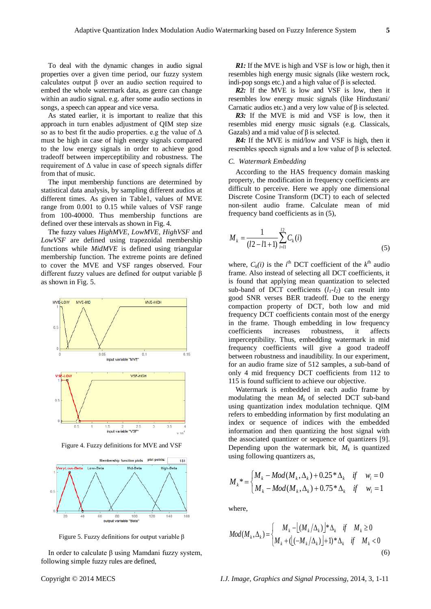To deal with the dynamic changes in audio signal properties over a given time period, our fuzzy system calculates output β over an audio section required to embed the whole watermark data, as genre can change within an audio signal. e.g. after some audio sections in songs, a speech can appear and vice versa.

As stated earlier, it is important to realize that this approach in turn enables adjustment of QIM step size so as to best fit the audio properties. e.g the value of  $\Delta$ must be high in case of high energy signals compared to the low energy signals in order to achieve good tradeoff between imperceptibility and robustness. The requirement of  $\Delta$  value in case of speech signals differ from that of music.

The input membership functions are determined by statistical data analysis, by sampling different audios at different times. As given in Table1, values of MVE range from 0.001 to 0.15 while values of VSF range from 100-40000. Thus membership functions are defined over these intervals as shown in Fig. 4.

The fuzzy values *HighMVE, LowMVE, HighVSF* and *LowVSF* are defined using trapezoidal membership functions while *MidMVE* is defined using triangular membership function. The extreme points are defined to cover the MVE and VSF ranges observed. Four different fuzzy values are defined for output variable β as shown in Fig. 5.



Figure 4. Fuzzy definitions for MVE and VSF



Figure 5. Fuzzy definitions for output variable β

In order to calculate β using Mamdani fuzzy system, following simple fuzzy rules are defined,

*R1:* If the MVE is high and VSF is low or high, then it resembles high energy music signals (like western rock, indi-pop songs etc.) and a high value of  $β$  is selected.

*R2:* If the MVE is low and VSF is low, then it resembles low energy music signals (like Hindustani/ Carnatic audios etc.) and a very low value of β is selected.

*R3:* If the MVE is mid and VSF is low, then it resembles mid energy music signals (e.g. Classicals, Gazals) and a mid value of  $\beta$  is selected.

*R4:* If the MVE is mid/low and VSF is high, then it resembles speech signals and a low value of  $β$  is selected.

#### *C. Watermark Embedding*

According to the HAS frequency domain masking property, the modification in frequency coefficients are difficult to perceive. Here we apply one dimensional Discrete Cosine Transform (DCT) to each of selected non-silent audio frame. Calculate mean of mid frequency band coefficients as in (5),

$$
M_{k} = \frac{1}{(l2 - l1 + 1)} \sum_{i=l1}^{l2} C_{k}(i)
$$
\n(5)

where,  $C_k(i)$  is the *i*<sup>th</sup> DCT coefficient of the  $k^{th}$  audio frame. Also instead of selecting all DCT coefficients, it is found that applying mean quantization to selected sub-band of DCT coefficients  $(l_1-l_2)$  can result into good SNR verses BER tradeoff. Due to the energy compaction property of DCT, both low and mid frequency DCT coefficients contain most of the energy in the frame. Though embedding in low frequency coefficients increases robustness, it affects imperceptibility. Thus, embedding watermark in mid frequency coefficients will give a good tradeoff between robustness and inaudibility. In our experiment, for an audio frame size of 512 samples, a sub-band of only 4 mid frequency DCT coefficients from 112 to 115 is found sufficient to achieve our objective.

Watermark is embedded in each audio frame by modulating the mean  $M_k$  of selected DCT sub-band using quantization index modulation technique. QIM refers to embedding information by first modulating an index or sequence of indices with the embedded information and then quantizing the host signal with the associated quantizer or sequence of quantizers [9]. Depending upon the watermark bit,  $M_k$  is quantized using following quantizers as,

$$
M_{k}^{*} = \begin{cases} M_{k} - Mod(M_{k}, \Delta_{k}) + 0.25^{*} \Delta_{k} & \text{if } w_{i} = 0 \\ M_{k} - Mod(M_{k}, \Delta_{k}) + 0.75^{*} \Delta_{k} & \text{if } w_{i} = 1 \end{cases}
$$

where,

$$
Mod(M_k, \Delta_k) = \begin{cases} M_k - \left[ (M_k/\Delta_k) \right]^* \Delta_k & \text{if } M_k \ge 0 \\ M_k + \left( \left[ (M_k/\Delta_k) \right] + 1 \right)^* \Delta_k & \text{if } M_k < 0 \end{cases}
$$
 (6)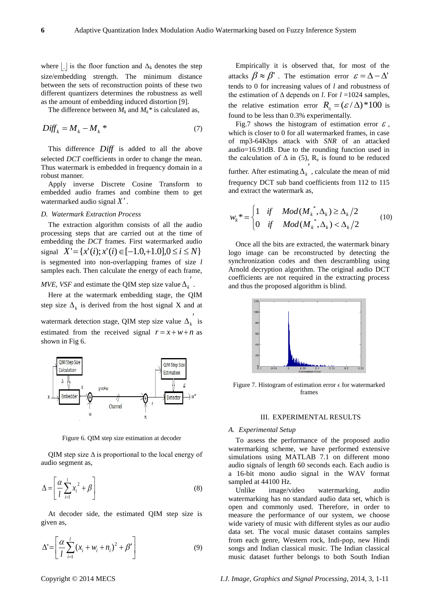where  $\lfloor \cdot \rfloor$  is the floor function and  $\Delta_k$  denotes the step size/embedding strength. The minimum distance between the sets of reconstruction points of these two different quantizers determines the robustness as well as the amount of embedding induced distortion [9].

The difference between  $M_k$  and  $M_k^*$  is calculated as,

$$
Diff_k = M_k - M_k^* \tag{7}
$$

This difference *Diff* is added to all the above selected *DCT* coefficients in order to change the mean. Thus watermark is embedded in frequency domain in a robust manner.

Apply inverse Discrete Cosine Transform to embedded audio frames and combine them to get watermarked audio signal *X* .

#### *D. Watermark Extraction Process*

The extraction algorithm consists of all the audio processing steps that are carried out at the time of embedding the *DCT* frames. First watermarked audio signal  $X' = \{x'(i); x'(i) \in [-1.0, +1.0], 0 \le i \le N\}$ is segmented into non-overlapping frames of size *l* samples each. Then calculate the energy of each frame,

## *MVE, VSF* and estimate the QIM step size value  $\Delta_k^{\prime}$ .

Here at the watermark embedding stage, the QIM step size  $\Delta_k$  is derived from the host signal X and at watermark detection stage, QIM step size value  $\Delta_k'$  is

estimated from the received signal  $r = x + w + n$  as shown in Fig 6.



Figure 6. QIM step size estimation at decoder

QIM step size  $\Delta$  is proportional to the local energy of audio segment as,

$$
\Delta = \left[ \frac{\alpha}{l} \sum_{i=1}^{l} x_i^2 + \beta \right] \tag{8}
$$

At decoder side, the estimated QIM step size is given as,

$$
\Delta = \left[ \frac{\alpha}{l} \sum_{i=1}^{l} (x_i + w_i + n_i)^2 + \beta' \right]
$$
 (9)

Empirically it is observed that, for most of the attacks  $\beta \approx \beta'$  . The estimation error  $\varepsilon = \Delta - \Delta'$ tends to 0 for increasing values of *l* and robustness of the estimation of  $\Delta$  depends on *l*. For  $l = 1024$  samples, the relative estimation error  $R_{\epsilon} = (\varepsilon / \Delta)^* 100$  is found to be less than 0.3% experimentally.

Fig.7 shows the histogram of estimation error  $\varepsilon$ , which is closer to 0 for all watermarked frames, in case of mp3-64Kbps attack with *SNR* of an attacked audio=16.91dB. Due to the rounding function used in the calculation of  $\Delta$  in (5),  $R_e$  is found to be reduced further. After estimating  $\Delta_k^{\prime}$ , calculate the mean of mid frequency DCT sub band coefficients from 112 to 115 and extract the watermark as,

$$
w_k^* = \begin{cases} 1 & \text{if } Mod(M_k^*, \Delta_k) \ge \Delta_k/2 \\ 0 & \text{if } Mod(M_k^*, \Delta_k) < \Delta_k/2 \end{cases} (10)
$$

Once all the bits are extracted, the watermark binary logo image can be reconstructed by detecting the synchronization codes and then descrambling using Arnold decryption algorithm. The original audio DCT coefficients are not required in the extracting process and thus the proposed algorithm is blind.



Figure 7. Histogram of estimation error  $\epsilon$  for watermarked frames

#### III. EXPERIMENTAL RESULTS

#### *A. Experimental Setup*

To assess the performance of the proposed audio watermarking scheme, we have performed extensive simulations using MATLAB 7.1 on different mono audio signals of length 60 seconds each. Each audio is a 16-bit mono audio signal in the WAV format sampled at 44100 Hz.

Unlike image/video watermarking, audio watermarking has no standard audio data set, which is open and commonly used. Therefore, in order to measure the performance of our system, we choose wide variety of music with different styles as our audio data set. The vocal music dataset contains samples from each genre, Western rock, Indi-pop, new Hindi songs and Indian classical music. The Indian classical music dataset further belongs to both South Indian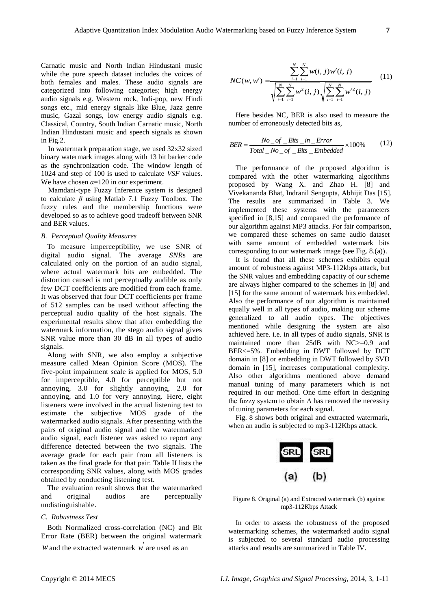Carnatic music and North Indian Hindustani music while the pure speech dataset includes the voices of both females and males. These audio signals are categorized into following categories; high energy audio signals e.g. Western rock, Indi-pop, new Hindi songs etc., mid energy signals like Blue, Jazz genre music, Gazal songs, low energy audio signals e.g. Classical, Country, South Indian Carnatic music, North Indian Hindustani music and speech signals as shown in Fig.2.

In watermark preparation stage, we used 32x32 sized binary watermark images along with 13 bit barker code as the synchronization code. The window length of 1024 and step of 100 is used to calculate *VSF* values. We have chosen  $\alpha$ =120 in our experiment.

Mamdani-type Fuzzy Inference system is designed to calculate *β* using Matlab 7.1 Fuzzy Toolbox. The fuzzy rules and the membership functions were developed so as to achieve good tradeoff between SNR and BER values.

#### *B. Perceptual Quality Measures*

To measure imperceptibility, we use SNR of digital audio signal. The average *SNR*s are calculated only on the portion of an audio signal, where actual watermark bits are embedded. The distortion caused is not perceptually audible as only few DCT coefficients are modified from each frame. It was observed that four DCT coefficients per frame of 512 samples can be used without affecting the perceptual audio quality of the host signals. The experimental results show that after embedding the watermark information, the stego audio signal gives SNR value more than 30 dB in all types of audio signals.

Along with SNR, we also employ a subjective measure called Mean Opinion Score (MOS). The five-point impairment scale is applied for MOS, 5.0 for imperceptible, 4.0 for perceptible but not annoying, 3.0 for slightly annoying, 2.0 for annoying, and 1.0 for very annoying. Here, eight listeners were involved in the actual listening test to estimate the subjective MOS grade of the watermarked audio signals. After presenting with the pairs of original audio signal and the watermarked audio signal, each listener was asked to report any difference detected between the two signals. The average grade for each pair from all listeners is taken as the final grade for that pair. Table II lists the corresponding SNR values, along with MOS grades obtained by conducting listening test.

The evaluation result shows that the watermarked and original audios are perceptually undistinguishable.

#### *C. Robustness Test*

Both Normalized cross-correlation (NC) and Bit Error Rate (BER) between the original watermark

w and the extracted watermark w are used as an

$$
NC(w, w') = \frac{\sum_{i=1}^{N} \sum_{i=1}^{N} w(i, j) w'(i, j)}{\sqrt{\sum_{i=1}^{N} \sum_{i=1}^{N} w^{2}(i, j)} \sqrt{\sum_{i=1}^{N} \sum_{i=1}^{N} w'^{2}(i, j)}}
$$
(11)

Here besides NC, BER is also used to measure the number of erroneously detected bits as,

$$
BER = \frac{No\_of\_Bits\_in\_Error}{Total\_No\_of\_Bits\_Embedded} \times 100\% \tag{12}
$$

The performance of the proposed algorithm is compared with the other watermarking algorithms proposed by Wang X. and Zhao H. [8] and Vivekananda Bhat, Indranil Sengupta, Abhijit Das [15]. The results are summarized in Table 3. We implemented these systems with the parameters specified in [8,15] and compared the performance of our algorithm against MP3 attacks. For fair comparison, we compared these schemes on same audio dataset with same amount of embedded watermark bits corresponding to our watermark image (see Fig. 8.(a)).

It is found that all these schemes exhibits equal amount of robustness against MP3-112kbps attack, but the SNR values and embedding capacity of our scheme are always higher compared to the schemes in [8] and [15] for the same amount of watermark bits embedded. Also the performance of our algorithm is maintained equally well in all types of audio, making our scheme generalized to all audio types. The objectives mentioned while designing the system are also achieved here. i.e. in all types of audio signals, SNR is maintained more than 25dB with NC>=0.9 and BER<=5%. Embedding in DWT followed by DCT domain in [8] or embedding in DWT followed by SVD domain in [15], increases computational complexity. Also other algorithms mentioned above demand manual tuning of many parameters which is not required in our method. One time effort in designing the fuzzy system to obtain  $\Delta$  has removed the necessity of tuning parameters for each signal.

Fig. 8 shows both original and extracted watermark, when an audio is subjected to mp3-112Kbps attack.



Figure 8. Original (a) and Extracted watermark (b) against mp3-112Kbps Attack

In order to assess the robustness of the proposed watermarking schemes, the watermarked audio signal is subjected to several standard audio processing attacks and results are summarized in Table IV.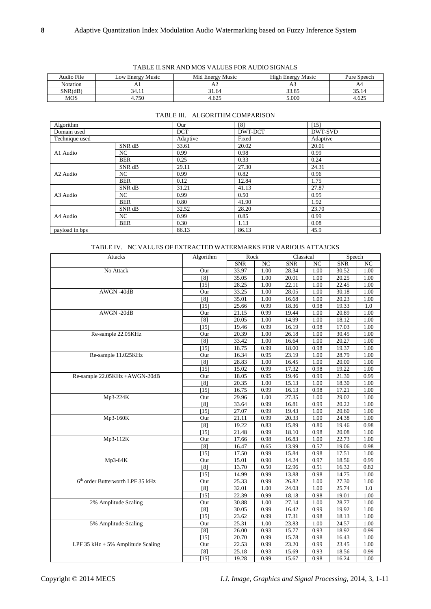| Audio File | Low Energy Music | Mid Energy Music | <b>High Energy Music</b> | Pure Speech |
|------------|------------------|------------------|--------------------------|-------------|
| Notation   | 71 I             |                  |                          | A4          |
| SNR(dB)    | łΔ               | 31.64            | 33.85                    | 35.14       |
| <b>MOS</b> | 4.750            | 4.625            | 5.000                    | 4.625       |

| TABLE II.SNR AND MOS VALUES FOR AUDIO SIGNALS |                  |                   |  |
|-----------------------------------------------|------------------|-------------------|--|
| Low Energy Music                              | Mid Energy Music | High Energy Music |  |

| Algorithm      |            | Our        | [8]     | $[15]$   |  |
|----------------|------------|------------|---------|----------|--|
| Domain used    |            | <b>DCT</b> | DWT-DCT | DWT-SVD  |  |
| Technique used |            | Adaptive   | Fixed   | Adaptive |  |
| A1 Audio       | SNR dB     | 33.61      | 20.02   | 20.01    |  |
|                | NC.        | 0.99       | 0.98    | 0.99     |  |
|                | <b>BER</b> | 0.25       | 0.33    | 0.24     |  |
| A2 Audio       | SNR dB     | 29.11      | 27.30   | 24.31    |  |
|                | NC         | 0.99       | 0.82    | 0.96     |  |
|                | <b>BER</b> | 0.12       | 12.84   | 1.75     |  |
| A3 Audio       | SNR dB     | 31.21      | 41.13   | 27.87    |  |
|                | NC         | 0.99       | 0.50    | 0.95     |  |
|                | <b>BER</b> | 0.80       | 41.90   | 1.92     |  |
| A4 Audio       | SNR dB     | 32.52      | 28.20   | 23.70    |  |
|                | NC         | 0.99       | 0.85    | 0.99     |  |
|                | <b>BER</b> | 0.30       | 1.13    | 0.08     |  |
| payload in bps |            | 86.13      | 86.13   | 45.9     |  |

#### TABLE III. ALGORITHM COMPARISON

#### TABLE IV. NC VALUES OF EXTRACTED WATERMARKS FOR VARIOUS ATTA3CKS

| Attacks                                      | Algorithm | Rock       |                  | Classical  |      | Speech     |      |
|----------------------------------------------|-----------|------------|------------------|------------|------|------------|------|
|                                              |           | <b>SNR</b> | $_{\mathrm{NC}}$ | <b>SNR</b> | NC   | <b>SNR</b> | NC   |
| No Attack                                    | Our       | 33.97      | 1.00             | 28.34      | 1.00 | 30.52      | 1.00 |
|                                              | [8]       | 35.05      | 1.00             | 20.01      | 1.00 | 20.25      | 1.00 |
|                                              | [15]      | 28.25      | 1.00             | 22.11      | 1.00 | 22.45      | 1.00 |
| AWGN-40dB                                    | Our       | 33.25      | 1.00             | 28.05      | 1.00 | 30.18      | 1.00 |
|                                              | [8]       | 35.01      | 1.00             | 16.68      | 1.00 | 20.23      | 1.00 |
|                                              | [15]      | 25.66      | 0.99             | 18.36      | 0.98 | 19.33      | 1.0  |
| $AWGN - 20dB$                                | Our       | 21.15      | 0.99             | 19.44      | 1.00 | 20.89      | 1.00 |
|                                              | [8]       | 20.05      | 1.00             | 14.99      | 1.00 | 18.12      | 1.00 |
|                                              | [15]      | 19.46      | 0.99             | 16.19      | 0.98 | 17.03      | 1.00 |
| Re-sample 22.05KHz                           | Our       | 20.39      | 1.00             | 26.18      | 1.00 | 30.45      | 1.00 |
|                                              | [8]       | 33.42      | 1.00             | 16.64      | 1.00 | 20.27      | 1.00 |
|                                              | $[15]$    | 18.75      | 0.99             | 18.00      | 0.98 | 19.37      | 1.00 |
| Re-sample 11.025KHz                          | Our       | 16.34      | 0.95             | 23.19      | 1.00 | 28.79      | 1.00 |
|                                              | [8]       | 28.83      | 1.00             | 16.45      | 1.00 | 20.00      | 1.00 |
|                                              | $[15]$    | 15.02      | 0.99             | 17.32      | 0.98 | 19.22      | 1.00 |
| Re-sample 22.05KHz +AWGN-20dB                | Our       | 18.05      | 0.95             | 19.46      | 0.99 | 21.30      | 0.99 |
|                                              | [8]       | 20.35      | 1.00             | 15.13      | 1.00 | 18.30      | 1.00 |
|                                              | $[15]$    | 16.75      | 0.99             | 16.13      | 0.98 | 17.21      | 1.00 |
| Mp3-224K                                     | Our       | 29.96      | 1.00             | 27.35      | 1.00 | 29.02      | 1.00 |
|                                              | [8]       | 33.64      | 0.99             | 16.81      | 0.99 | 20.22      | 1.00 |
|                                              | $[15]$    | 27.07      | 0.99             | 19.43      | 1.00 | 20.60      | 1.00 |
| Mp3-160K                                     | Our       | 21.11      | 0.99             | 20.33      | 1.00 | 24.38      | 1.00 |
|                                              | [8]       | 19.22      | 0.83             | 15.89      | 0.80 | 19.46      | 0.98 |
|                                              | $[15]$    | 21.48      | 0.99             | 18.10      | 0.98 | 20.08      | 1.00 |
| Mp3-112K                                     | Our       | 17.66      | 0.98             | 16.83      | 1.00 | 22.73      | 1.00 |
|                                              | [8]       | 16.47      | 0.65             | 13.99      | 0.57 | 19.06      | 0.98 |
|                                              | $[15]$    | 17.50      | 0.99             | 15.84      | 0.98 | 17.51      | 1.00 |
| Mp3-64K                                      | Our       | 15.01      | 0.90             | 14.24      | 0.97 | 18.56      | 0.99 |
|                                              | [8]       | 13.70      | 0.50             | 12.96      | 0.51 | 16.32      | 0.82 |
|                                              | $[15]$    | 14.99      | 0.99             | 13.88      | 0.98 | 14.75      | 1.00 |
| 6 <sup>th</sup> order Butterworth LPF 35 kHz | Our       | 25.33      | 0.99             | 26.82      | 1.00 | 27.30      | 1.00 |
|                                              | [8]       | 32.01      | 1.00             | 24.03      | 1.00 | 25.74      | 1.0  |
|                                              | [15]      | 22.39      | 0.99             | 18.18      | 0.98 | 19.01      | 1.00 |
| 2% Amplitude Scaling                         | Our       | 30.88      | 1.00             | 27.14      | 1.00 | 28.77      | 1.00 |
|                                              | [8]       | 30.05      | 0.99             | 16.42      | 0.99 | 19.92      | 1.00 |
|                                              | [15]      | 23.62      | 0.99             | 17.31      | 0.98 | 18.13      | 1.00 |
| 5% Amplitude Scaling                         | Our       | 25.31      | 1.00             | 23.83      | 1.00 | 24.57      | 1.00 |
|                                              | [8]       | 26.00      | 0.93             | 15.77      | 0.93 | 18.92      | 0.99 |
|                                              | [15]      | 20.70      | 0.99             | 15.78      | 0.98 | 16.43      | 1.00 |
| LPF 35 kHz + 5% Amplitude Scaling            | Our       | 22.53      | 0.99             | 23.20      | 0.99 | 23.45      | 1.00 |
|                                              | [8]       | 25.18      | 0.93             | 15.69      | 0.93 | 18.56      | 0.99 |
|                                              | $[15]$    | 19.28      | 0.99             | 15.67      | 0.98 | 16.24      | 1.00 |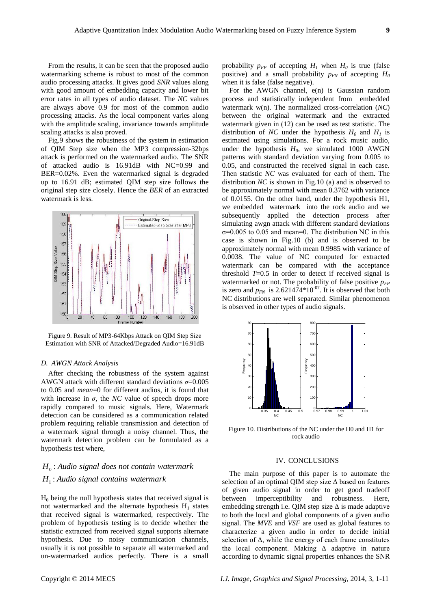From the results, it can be seen that the proposed audio watermarking scheme is robust to most of the common audio processing attacks. It gives good *SNR* values along with good amount of embedding capacity and lower bit error rates in all types of audio dataset. The *NC* values are always above 0.9 for most of the common audio processing attacks. As the local component varies along with the amplitude scaling, invariance towards amplitude scaling attacks is also proved.

Fig.9 shows the robustness of the system in estimation of QIM Step size when the MP3 compression-32bps attack is performed on the watermarked audio. The SNR of attacked audio is 16.91dB with NC=0.99 and BER=0.02%. Even the watermarked signal is degraded up to 16.91 dB; estimated QIM step size follows the original step size closely. Hence the *BER* of an extracted watermark is less.



Figure 9. Result of MP3-64Kbps Attack on QIM Step Size Estimation with SNR of Attacked/Degraded Audio=16.91dB

#### *D. AWGN Attack Analysis*

After checking the robustness of the system against AWGN attack with different standard deviations *σ*=0.005 to 0.05 and *mean*=0 for different audios, it is found that with increase in  $\sigma$ , the *NC* value of speech drops more rapidly compared to music signals. Here, Watermark detection can be considered as a communication related problem requiring reliable transmission and detection of a watermark signal through a noisy channel. Thus, the watermark detection problem can be formulated as a hypothesis test where,

### *H Audio signal contains watermark* : 1 *H Audio signal does not contain watermark* : 0

 $H<sub>0</sub>$  being the null hypothesis states that received signal is not watermarked and the alternate hypothesis  $H_1$  states that received signal is watermarked, respectively. The problem of hypothesis testing is to decide whether the statistic extracted from received signal supports alternate hypothesis. Due to noisy communication channels, usually it is not possible to separate all watermarked and un-watermarked audios perfectly. There is a small

For the AWGN channel, e(n) is Gaussian random process and statistically independent from embedded watermark w(n). The normalized cross-correlation (*NC*) between the original watermark and the extracted watermark given in (12) can be used as test statistic. The distribution of *NC* under the hypothesis  $H_0$  and  $H_1$  is estimated using simulations. For a rock music audio, under the hypothesis  $H_0$ , we simulated 1000 AWGN patterns with standard deviation varying from 0.005 to 0.05, and constructed the received signal in each case. Then statistic *NC* was evaluated for each of them. The distribution *NC* is shown in Fig.10 (a) and is observed to be approximately normal with mean 0.3762 with variance of 0.0155. On the other hand, under the hypothesis H1, we embedded watermark into the rock audio and we subsequently applied the detection process after simulating awgn attack with different standard deviations  $\sigma$ =0.005 to 0.05 and mean=0. The distribution NC in this case is shown in Fig.10 (b) and is observed to be approximately normal with mean 0.9985 with variance of 0.0038. The value of NC computed for extracted watermark can be compared with the acceptance threshold  $T=0.5$  in order to detect if received signal is watermarked or not. The probability of false positive  $p_{FP}$ is zero and  $p_{FN}$  is 2.621474\*10<sup>-07</sup>. It is observed that both NC distributions are well separated. Similar phenomenon is observed in other types of audio signals.



Figure 10. Distributions of the NC under the H0 and H1 for rock audio

#### IV. CONCLUSIONS

The main purpose of this paper is to automate the selection of an optimal QIM step size  $\Delta$  based on features of given audio signal in order to get good tradeoff between imperceptibility and robustness. Here, embedding strength i.e. QIM step size  $\Delta$  is made adaptive to both the local and global components of a given audio signal. The *MVE* and *VSF* are used as global features to characterize a given audio in order to decide initial selection of  $\Delta$ , while the energy of each frame constitutes the local component. Making Δ adaptive in nature according to dynamic signal properties enhances the SNR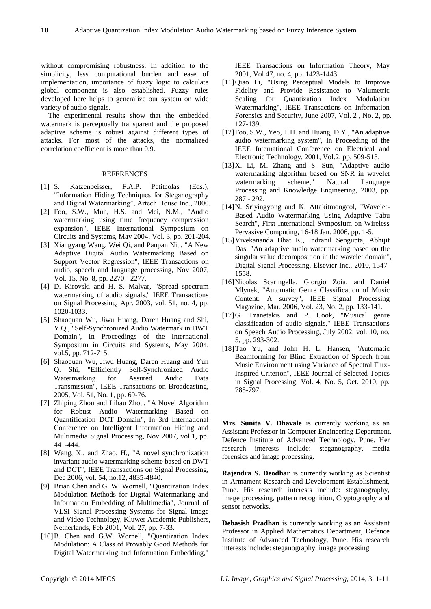without compromising robustness. In addition to the simplicity, less computational burden and ease of implementation, importance of fuzzy logic to calculate global component is also established. Fuzzy rules developed here helps to generalize our system on wide variety of audio signals.

The experimental results show that the embedded watermark is perceptually transparent and the proposed adaptive scheme is robust against different types of attacks. For most of the attacks, the normalized correlation coefficient is more than 0.9.

#### REFERENCES

- [1] S. Katzenbeisser, F.A.P. Petitcolas (Eds.), "Information Hiding Techniques for Steganography and Digital Watermarking", Artech House Inc., 2000.
- [2] Foo, S.W., Muh, H.S. and Mei, N.M., "Audio watermarking using time frequency compression expansion", IEEE International Symposium on Circuits and Systems, May 2004, Vol. 3, pp. 201-204.
- [3] Xiangyang Wang, Wei Qi, and Panpan Niu, "A New Adaptive Digital Audio Watermarking Based on Support Vector Regression", IEEE Transactions on audio, speech and language processing, Nov 2007, Vol. 15, No. 8, pp. 2270 - 2277.
- [4] D. Kirovski and H. S. Malvar, "Spread spectrum watermarking of audio signals," IEEE Transactions on Signal Processing, Apr. 2003, vol. 51, no. 4, pp. 1020-1033.
- [5] Shaoquan Wu, Jiwu Huang, Daren Huang and Shi, Y.Q., "Self-Synchronized Audio Watermark in DWT Domain", In Proceedings of the International Symposium in Circuits and Systems, May 2004, vol.5, pp. 712-715.
- [6] Shaoquan Wu, Jiwu Huang, Daren Huang and Yun Q. Shi, "Efficiently Self-Synchronized Audio Watermarking for Assured Audio Data Transmission", IEEE Transactions on Broadcasting, 2005, Vol. 51, No. 1, pp. 69-76.
- [7] Zhiping Zhou and Lihau Zhou, "A Novel Algorithm for Robust Audio Watermarking Based on Quantification DCT Domain", In 3rd International Conference on Intelligent Information Hiding and Multimedia Signal Processing, Nov 2007, vol.1, pp. 441-444.
- [8] Wang, X., and Zhao, H., "A novel synchronization invariant audio watermarking scheme based on DWT and DCT", IEEE Transactions on Signal Processing, Dec 2006, vol. 54, no.12, 4835-4840.
- [9] Brian Chen and G. W. Wornell, "Quantization Index Modulation Methods for Digital Watermarking and Information Embedding of Multimedia", Journal of VLSI Signal Processing Systems for Signal Image and Video Technology, Kluwer Academic Publishers, Netherlands, Feb 2001, Vol. 27, pp. 7-33.
- [10]B. Chen and G.W. Wornell, "Quantization Index Modulation: A Class of Provably Good Methods for Digital Watermarking and Information Embedding,"

IEEE Transactions on Information Theory, May 2001, Vol 47, no. 4, pp. 1423-1443.

- [11]Qiao Li, "Using Perceptual Models to Improve Fidelity and Provide Resistance to Valumetric Scaling for Quantization Index Modulation Watermarking", IEEE Transactions on Information Forensics and Security, June 2007, Vol. 2 , No. 2, pp. 127-139.
- [12] Foo, S.W., Yeo, T.H. and Huang, D.Y., "An adaptive audio watermarking system", In Proceeding of the IEEE International Conference on Electrical and Electronic Technology, 2001, Vol.2, pp. 509-513.
- [13]X. Li, M. Zhang and S. Sun, "Adaptive audio watermarking algorithm based on SNR in wavelet watermarking scheme," Natural Language Processing and Knowledge Engineering, 2003, pp. 287 - 292.
- [14]N. Sriyingyong and K. Attakitmongcol, "Wavelet-Based Audio Watermarking Using Adaptive Tabu Search", First International Symposium on Wireless Pervasive Computing, 16-18 Jan. 2006, pp. 1-5.
- [15]Vivekananda Bhat K., Indranil Sengupta, Abhijit Das, "An adaptive audio watermarking based on the singular value decomposition in the wavelet domain", Digital Signal Processing, Elsevier Inc., 2010, 1547- 1558.
- [16]Nicolas Scaringella, Giorgio Zoia, and Daniel Mlynek, "Automatic Genre Classification of Music Content: A survey", IEEE Signal Processing Magazine, Mar. 2006, Vol. 23, No. 2, pp. 133-141.
- [17]G. Tzanetakis and P. Cook, "Musical genre classification of audio signals," IEEE Transactions on Speech Audio Processing, July 2002, vol. 10, no. 5, pp. 293-302.
- [18]Tao Yu, and John H. L. Hansen, "Automatic Beamforming for Blind Extraction of Speech from Music Environment using Variance of Spectral Flux-Inspired Criterion", IEEE Journal of Selected Topics in Signal Processing, Vol. 4, No. 5, Oct. 2010, pp. 785-797.

Mrs. Sunita V. Dhavale is currently working as an Assistant Professor in Computer Engineering Department, Defence Institute of Advanced Technology, Pune. Her research interests include: steganography, media forensics and image processing.

**Rajendra S. Deodhar** is currently working as Scientist in Armament Research and Development Establishment, Pune. His research interests include: steganography, image processing, pattern recognition, Cryptogrophy and sensor networks.

**Debasish Pradhan** is currently working as an Assistant Professor in Applied Mathematics Department, Defence Institute of Advanced Technology, Pune. His research interests include: steganography, image processing.